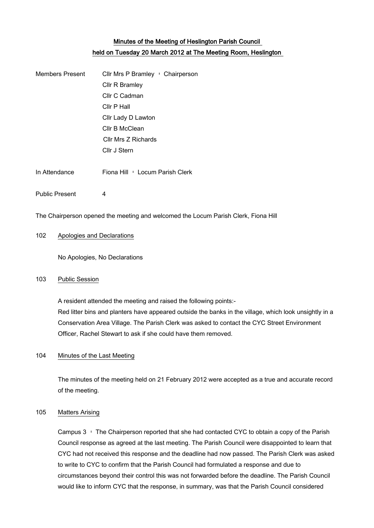# Minutes of the Meeting of Heslington Parish Council held on Tuesday 20 March 2012 at The Meeting Room, Heslington

Public Present 4

The Chairperson opened the meeting and welcomed the Locum Parish Clerk, Fiona Hill

#### 102 Apologies and Declarations

No Apologies, No Declarations

### 103 Public Session

A resident attended the meeting and raised the following points:- Red litter bins and planters have appeared outside the banks in the village, which look unsightly in a Conservation Area Village. The Parish Clerk was asked to contact the CYC Street Environment Officer, Rachel Stewart to ask if she could have them removed.

#### 104 Minutes of the Last Meeting

The minutes of the meeting held on 21 February 2012 were accepted as a true and accurate record of the meeting.

### 105 Matters Arising

Campus 3 – The Chairperson reported that she had contacted CYC to obtain a copy of the Parish Council response as agreed at the last meeting. The Parish Council were disappointed to learn that CYC had not received this response and the deadline had now passed. The Parish Clerk was asked to write to CYC to confirm that the Parish Council had formulated a response and due to circumstances beyond their control this was not forwarded before the deadline. The Parish Council would like to inform CYC that the response, in summary, was that the Parish Council considered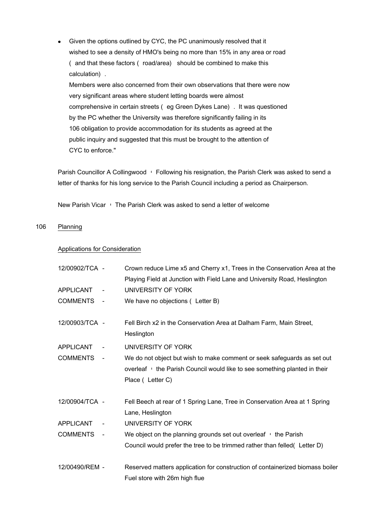Given the options outlined by CYC, the PC unanimously resolved that it  $\bullet$ wished to see a density of HMO's being no more than 15% in any area or road ( and that these factors ( road/area) should be combined to make this calculation). Members were also concerned from their own observations that there were now very significant areas where student letting boards were almost comprehensive in certain streets (eg Green Dykes Lane). It was questioned by the PC whether the University was therefore significantly failing in its 106 obligation to provide accommodation for its students as agreed at the public inquiry and suggested that this must be brought to the attention of CYC to enforce."

Parish Councillor A Collingwood – Following his resignation, the Parish Clerk was asked to send a letter of thanks for his long service to the Parish Council including a period as Chairperson.

New Parish Vicar – The Parish Clerk was asked to send a letter of welcome

#### 106 Planning

#### Applications for Consideration

| 12/00902/TCA -   |                          | Crown reduce Lime x5 and Cherry x1, Trees in the Conservation Area at the                      |
|------------------|--------------------------|------------------------------------------------------------------------------------------------|
|                  |                          | Playing Field at Junction with Field Lane and University Road, Heslington                      |
| <b>APPLICANT</b> | $\overline{\phantom{a}}$ | UNIVERSITY OF YORK                                                                             |
| <b>COMMENTS</b>  | $\blacksquare$           | We have no objections (Letter B)                                                               |
| 12/00903/TCA -   |                          | Fell Birch x2 in the Conservation Area at Dalham Farm, Main Street,<br>Heslington              |
| <b>APPLICANT</b> |                          | UNIVERSITY OF YORK                                                                             |
| <b>COMMENTS</b>  | $\overline{\phantom{a}}$ | We do not object but wish to make comment or seek safeguards as set out                        |
|                  |                          | overleaf I the Parish Council would like to see something planted in their                     |
|                  |                          | Place ( Letter C)                                                                              |
| 12/00904/TCA -   |                          | Fell Beech at rear of 1 Spring Lane, Tree in Conservation Area at 1 Spring<br>Lane, Heslington |
| <b>APPLICANT</b> |                          | UNIVERSITY OF YORK                                                                             |
| <b>COMMENTS</b>  | $\sim$ $-$               | We object on the planning grounds set out overleaf $\cdot$ the Parish                          |
|                  |                          | Council would prefer the tree to be trimmed rather than felled (Letter D)                      |
| 12/00490/REM -   |                          | Reserved matters application for construction of containerized biomass boiler                  |
|                  |                          | Fuel store with 26m high flue                                                                  |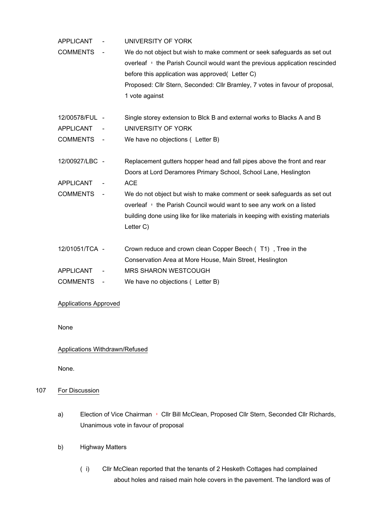| <b>APPLICANT</b> |                          | UNIVERSITY OF YORK                                                                                                                                                                                                                                                                                          |
|------------------|--------------------------|-------------------------------------------------------------------------------------------------------------------------------------------------------------------------------------------------------------------------------------------------------------------------------------------------------------|
| <b>COMMENTS</b>  | $\overline{\phantom{a}}$ | We do not object but wish to make comment or seek safeguards as set out<br>overleaf · the Parish Council would want the previous application rescinded<br>before this application was approved( Letter C)<br>Proposed: Cllr Stern, Seconded: Cllr Bramley, 7 votes in favour of proposal,<br>1 vote against |
| 12/00578/FUL -   |                          | Single storey extension to Blck B and external works to Blacks A and B                                                                                                                                                                                                                                      |
| <b>APPLICANT</b> |                          | UNIVERSITY OF YORK                                                                                                                                                                                                                                                                                          |
| COMMENTS -       |                          | We have no objections ( Letter B)                                                                                                                                                                                                                                                                           |
| 12/00927/LBC -   |                          | Replacement gutters hopper head and fall pipes above the front and rear<br>Doors at Lord Deramores Primary School, School Lane, Heslington                                                                                                                                                                  |
| <b>APPLICANT</b> |                          | <b>ACE</b>                                                                                                                                                                                                                                                                                                  |
| COMMENTS -       |                          | We do not object but wish to make comment or seek safeguards as set out<br>overleaf I the Parish Council would want to see any work on a listed<br>building done using like for like materials in keeping with existing materials<br>Letter C)                                                              |
| 12/01051/TCA -   |                          | Crown reduce and crown clean Copper Beech (T1), Tree in the                                                                                                                                                                                                                                                 |
|                  |                          | Conservation Area at More House, Main Street, Heslington                                                                                                                                                                                                                                                    |
| <b>APPLICANT</b> |                          | <b>MRS SHARON WESTCOUGH</b>                                                                                                                                                                                                                                                                                 |
| <b>COMMENTS</b>  |                          | We have no objections (Letter B)                                                                                                                                                                                                                                                                            |

### Applications Approved

#### None

#### Applications Withdrawn/Refused

None.

## 107 For Discussion

- a) Election of Vice Chairman Cllr Bill McClean, Proposed Cllr Stern, Seconded Cllr Richards, Unanimous vote in favour of proposal
- b) Highway Matters
	- (i) Cllr McClean reported that the tenants of 2 Hesketh Cottages had complained about holes and raised main hole covers in the pavement. The landlord was of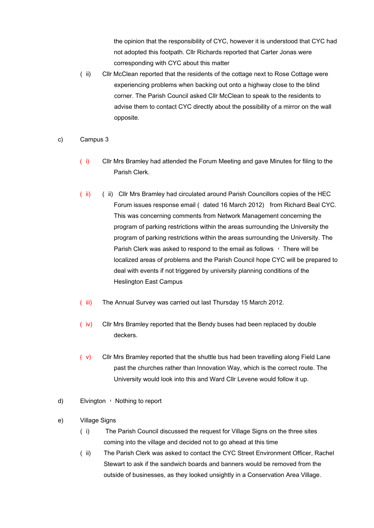the opinion that the responsibility of CYC, however it is understood that CYC had not adopted this footpath. Cllr Richards reported that Carter Jonas were corresponding with CYC about this matter

- (ii) Cllr McClean reported that the residents of the cottage next to Rose Cottage were experiencing problems when backing out onto a highway close to the blind corner. The Parish Council asked Cllr McClean to speak to the residents to advise them to contact CYC directly about the possibility of a mirror on the wall opposite.
- c) Campus 3
	- (i) Cllr Mrs Bramley had attended the Forum Meeting and gave Minutes for filing to the Parish Clerk.
	- (ii) (ii) Cllr Mrs Bramley had circulated around Parish Councillors copies of the HEC Forum issues response email ( dated 16 March 2012) from Richard Beal CYC. This was concerning comments from Network Management concerning the program of parking restrictions within the areas surrounding the University the program of parking restrictions within the areas surrounding the University. The Parish Clerk was asked to respond to the email as follows  $\cdot$  There will be localized areas of problems and the Parish Council hope CYC will be prepared to deal with events if not triggered by university planning conditions of the Heslington East Campus
	- (iii) The Annual Survey was carried out last Thursday 15 March 2012.
	- (iv) Cllr Mrs Bramley reported that the Bendy buses had been replaced by double deckers.
	- (v) Cllr Mrs Bramley reported that the shuttle bus had been travelling along Field Lane past the churches rather than Innovation Way, which is the correct route. The University would look into this and Ward Cllr Levene would follow it up.
- d) Elvington Nothing to report
- e) Village Signs
	- (i) The Parish Council discussed the request for Village Signs on the three sites coming into the village and decided not to go ahead at this time
	- (ii) The Parish Clerk was asked to contact the CYC Street Environment Officer, Rachel Stewart to ask if the sandwich boards and banners would be removed from the outside of businesses, as they looked unsightly in a Conservation Area Village.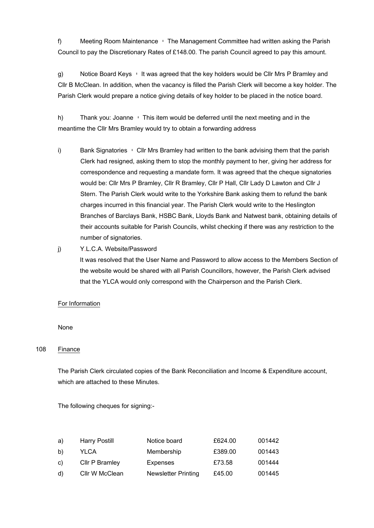f) Meeting Room Maintenance – The Management Committee had written asking the Parish Council to pay the Discretionary Rates of £148.00. The parish Council agreed to pay this amount.

g) Notice Board Keys – It was agreed that the key holders would be Cllr Mrs P Bramley and Cllr B McClean. In addition, when the vacancy is filled the Parish Clerk will become a key holder. The Parish Clerk would prepare a notice giving details of key holder to be placed in the notice board.

h) Thank you: Joanne – This item would be deferred until the next meeting and in the meantime the Cllr Mrs Bramley would try to obtain a forwarding address

- i) Bank Signatories Cllr Mrs Bramley had written to the bank advising them that the parish Clerk had resigned, asking them to stop the monthly payment to her, giving her address for correspondence and requesting a mandate form. It was agreed that the cheque signatories would be: Cllr Mrs P Bramley, Cllr R Bramley, Cllr P Hall, Cllr Lady D Lawton and Cllr J Stern. The Parish Clerk would write to the Yorkshire Bank asking them to refund the bank charges incurred in this financial year. The Parish Clerk would write to the Heslington Branches of Barclays Bank, HSBC Bank, Lloyds Bank and Natwest bank, obtaining details of their accounts suitable for Parish Councils, whilst checking if there was any restriction to the number of signatories.
- j) Y.L.C.A. Website/Password

It was resolved that the User Name and Password to allow access to the Members Section of the website would be shared with all Parish Councillors, however, the Parish Clerk advised that the YLCA would only correspond with the Chairperson and the Parish Clerk.

#### For Information

#### None

### 108 Finance

The Parish Clerk circulated copies of the Bank Reconciliation and Income & Expenditure account, which are attached to these Minutes.

The following cheques for signing:-

| a)           | Harry Postill  | Notice board        | £624.00 | 001442 |
|--------------|----------------|---------------------|---------|--------|
| b)           | YLCA           | Membership          | £389.00 | 001443 |
| $\mathbf{C}$ | Cllr P Bramley | <b>Expenses</b>     | £73.58  | 001444 |
| d)           | Cllr W McClean | Newsletter Printing | £45.00  | 001445 |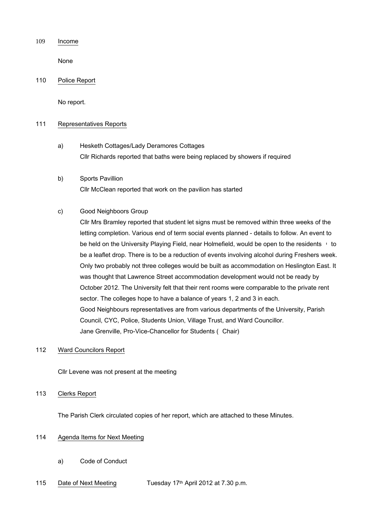#### 109 Income

None

#### 110 Police Report

No report.

#### 111 Representatives Reports

- a) Hesketh Cottages/Lady Deramores Cottages Cllr Richards reported that baths were being replaced by showers if required
- b) Sports Pavillion Cllr McClean reported that work on the pavilion has started

#### c) Good Neighboors Group

Cllr Mrs Bramley reported that student let signs must be removed within three weeks of the letting completion. Various end of term social events planned - details to follow. An event to be held on the University Playing Field, near Holmefield, would be open to the residents  $+$  to be a leaflet drop. There is to be a reduction of events involving alcohol during Freshers week. Only two probably not three colleges would be built as accommodation on Heslington East. It was thought that Lawrence Street accommodation development would not be ready by October 2012. The University felt that their rent rooms were comparable to the private rent sector. The colleges hope to have a balance of years 1, 2 and 3 in each. Good Neighbours representatives are from various departments of the University, Parish Council, CYC, Police, Students Union, Village Trust, and Ward Councillor. Jane Grenville, Pro-Vice-Chancellor for Students ( Chair)

#### 112 Ward Councilors Report

Cllr Levene was not present at the meeting

### 113 Clerks Report

The Parish Clerk circulated copies of her report, which are attached to these Minutes.

#### 114 Agenda Items for Next Meeting

- a) Code of Conduct
- 115 Date of Next Meeting Tuesday 17<sup>th</sup> April 2012 at 7.30 p.m.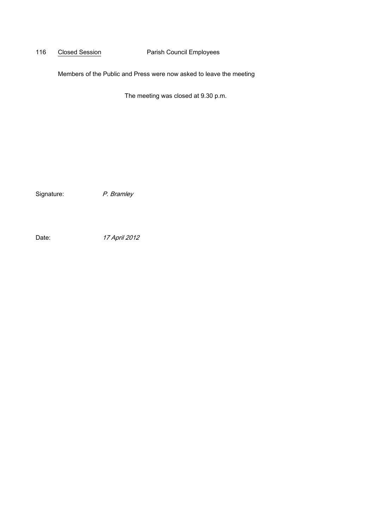## 116 Closed Session **Parish Council Employees**

Members of the Public and Press were now asked to leave the meeting

The meeting was closed at 9.30 p.m.

Signature: P. Bramley

Date: 17 April 2012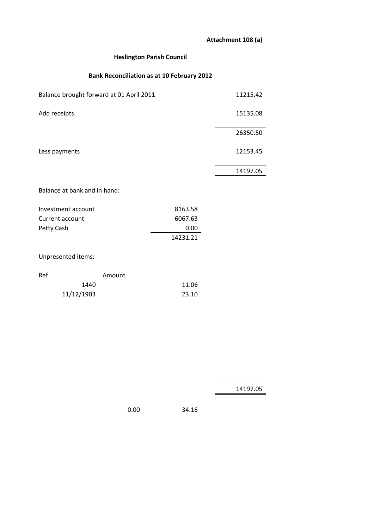# **Attachment 108 (a)**

## **Heslington Parish Council**

# **Bank Reconciliation as at 10 February 2012**

| Balance brought forward at 01 April 2011 |        |          | 11215.42 |
|------------------------------------------|--------|----------|----------|
| Add receipts                             |        |          | 15135.08 |
|                                          |        |          | 26350.50 |
| Less payments                            |        |          | 12153.45 |
|                                          |        |          | 14197.05 |
| Balance at bank and in hand:             |        |          |          |
| Investment account                       |        | 8163.58  |          |
| Current account                          |        | 6067.63  |          |
| Petty Cash                               |        | 0.00     |          |
|                                          |        | 14231.21 |          |
| Unpresented items:                       |        |          |          |
| Ref                                      | Amount |          |          |

| - 1 |            | AUTU UNIT |       |
|-----|------------|-----------|-------|
|     | 1440       |           | 11.06 |
|     | 11/12/1903 |           | 23.10 |

14197.05

0.00 34.16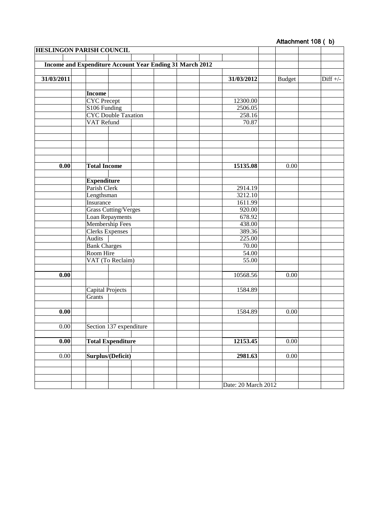# Attachment 108 (b)

| <b>HESLINGON PARISH COUNCIL</b> |                                    |                                                                 |                     |               |            |
|---------------------------------|------------------------------------|-----------------------------------------------------------------|---------------------|---------------|------------|
|                                 |                                    | <b>Income and Expenditure Account Year Ending 31 March 2012</b> |                     |               |            |
|                                 |                                    |                                                                 |                     |               |            |
| 31/03/2011                      |                                    |                                                                 | 31/03/2012          | <b>Budget</b> | $Diff +/-$ |
|                                 |                                    |                                                                 |                     |               |            |
|                                 | Income<br><b>CYC</b> Precept       |                                                                 | 12300.00            |               |            |
|                                 | S106 Funding                       |                                                                 | 2506.05             |               |            |
|                                 |                                    | <b>CYC</b> Double Taxation                                      | 258.16              |               |            |
|                                 | <b>VAT Refund</b>                  |                                                                 | 70.87               |               |            |
|                                 |                                    |                                                                 |                     |               |            |
|                                 |                                    |                                                                 |                     |               |            |
|                                 |                                    |                                                                 |                     |               |            |
|                                 |                                    |                                                                 |                     |               |            |
|                                 |                                    |                                                                 |                     |               |            |
| 0.00                            | <b>Total Income</b>                |                                                                 | 15135.08            | 0.00          |            |
|                                 |                                    |                                                                 |                     |               |            |
|                                 | <b>Expenditure</b><br>Parish Clerk |                                                                 | 2914.19             |               |            |
|                                 | Lengthsman                         |                                                                 | 3212.10             |               |            |
|                                 | Insurance                          |                                                                 | 1611.99             |               |            |
|                                 |                                    | <b>Grass Cutting/Verges</b>                                     | 920.00              |               |            |
|                                 |                                    | Loan Repayments                                                 | 678.92              |               |            |
|                                 |                                    | <b>Membership Fees</b>                                          | 438.00              |               |            |
|                                 | <b>Clerks Expenses</b>             |                                                                 | 389.36              |               |            |
|                                 | <b>Audits</b>                      |                                                                 | 225.00              |               |            |
|                                 | <b>Bank Charges</b>                |                                                                 | 70.00               |               |            |
|                                 | Room Hire                          |                                                                 | 54.00               |               |            |
|                                 |                                    | VAT (To Reclaim)                                                | 55.00               |               |            |
| 0.00                            |                                    |                                                                 | 10568.56            | 0.00          |            |
|                                 |                                    |                                                                 |                     |               |            |
|                                 | <b>Capital Projects</b>            |                                                                 | 1584.89             |               |            |
|                                 | Grants                             |                                                                 |                     |               |            |
|                                 |                                    |                                                                 |                     |               |            |
| 0.00                            |                                    |                                                                 | 1584.89             | 0.00          |            |
|                                 |                                    |                                                                 |                     |               |            |
| 0.00                            |                                    | Section 137 expenditure                                         |                     |               |            |
|                                 |                                    |                                                                 |                     |               |            |
| $\overline{0.00}$               |                                    | <b>Total Expenditure</b>                                        | 12153.45            | 0.00          |            |
|                                 |                                    |                                                                 |                     |               |            |
| $0.00\,$                        | Surplus/(Deficit)                  |                                                                 | 2981.63             | 0.00          |            |
|                                 |                                    |                                                                 |                     |               |            |
|                                 |                                    |                                                                 |                     |               |            |
|                                 |                                    |                                                                 | Date: 20 March 2012 |               |            |